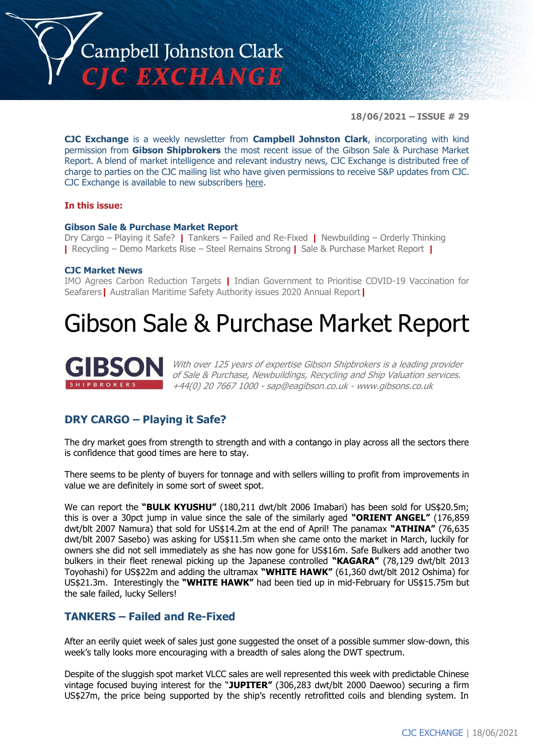

**18/06/2021 – ISSUE # 29**

**CJC Exchange** is a weekly newsletter from **Campbell Johnston Clark**, incorporating with kind permission from **Gibson Shipbrokers** the most recent issue of the Gibson Sale & Purchase Market Report. A blend of market intelligence and relevant industry news, CJC Exchange is distributed free of charge to parties on the CJC mailing list who have given permissions to receive S&P updates from CJC. CJC Exchange is available to new subscribers [here.](mailto:jamesc@cjclaw.com?subject=CJC%20Exchange%20sign-up)

#### **In this issue:**

#### **Gibson Sale & Purchase Market Report**

Dry Cargo – Playing it Safe? **|** Tankers – Failed and Re-Fixed **|** Newbuilding – Orderly Thinking **|** Recycling – Demo Markets Rise – Steel Remains Strong **|** Sale & Purchase Market Report **|**

#### **CJC Market News**

IMO Agrees Carbon Reduction Targets **|** Indian Government to Prioritise COVID-19 Vaccination for Seafarers**|** Australian Maritime Safety Authority issues 2020 Annual Report**|**

# Gibson Sale & Purchase Market Report



With over 125 years of expertise Gibson Shipbrokers is a leading provider of Sale & Purchase, Newbuildings, Recycling and Ship Valuation services. +44(0) 20 7667 1000 - [sap@eagibson.co.uk](mailto:sap@eagibson.co.uk) - [www.gibsons.co.uk](https://protect-eu.mimecast.com/s/VO6nCGZzRS60KqcK1jQh/)

# **DRY CARGO – Playing it Safe?**

The dry market goes from strength to strength and with a contango in play across all the sectors there is confidence that good times are here to stay.

There seems to be plenty of buyers for tonnage and with sellers willing to profit from improvements in value we are definitely in some sort of sweet spot.

We can report the **"BULK KYUSHU"** (180,211 dwt/blt 2006 Imabari) has been sold for US\$20.5m; this is over a 30pct jump in value since the sale of the similarly aged **"ORIENT ANGEL"** (176,859 dwt/blt 2007 Namura) that sold for US\$14.2m at the end of April! The panamax **"ATHINA"** (76,635 dwt/blt 2007 Sasebo) was asking for US\$11.5m when she came onto the market in March, luckily for owners she did not sell immediately as she has now gone for US\$16m. Safe Bulkers add another two bulkers in their fleet renewal picking up the Japanese controlled **"KAGARA"** (78,129 dwt/blt 2013 Toyohashi) for US\$22m and adding the ultramax **"WHITE HAWK"** (61,360 dwt/blt 2012 Oshima) for US\$21.3m. Interestingly the **"WHITE HAWK"** had been tied up in mid-February for US\$15.75m but the sale failed, lucky Sellers!

### **TANKERS – Failed and Re-Fixed**

After an eerily quiet week of sales just gone suggested the onset of a possible summer slow-down, this week's tally looks more encouraging with a breadth of sales along the DWT spectrum.

Despite of the sluggish spot market VLCC sales are well represented this week with predictable Chinese vintage focused buying interest for the "**JUPITER"** (306,283 dwt/blt 2000 Daewoo) securing a firm US\$27m, the price being supported by the ship's recently retrofitted coils and blending system. In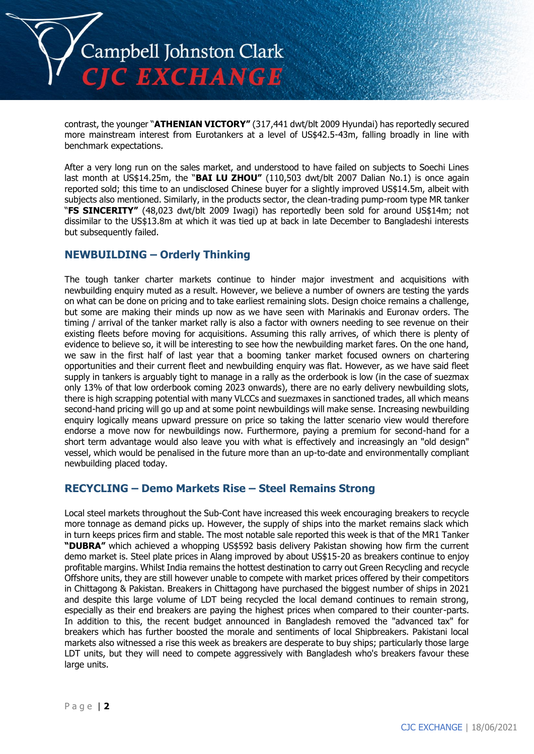

contrast, the younger "**ATHENIAN VICTORY"** (317,441 dwt/blt 2009 Hyundai) has reportedly secured more mainstream interest from Eurotankers at a level of US\$42.5-43m, falling broadly in line with benchmark expectations.

After a very long run on the sales market, and understood to have failed on subjects to Soechi Lines last month at US\$14.25m, the "**BAI LU ZHOU"** (110,503 dwt/blt 2007 Dalian No.1) is once again reported sold; this time to an undisclosed Chinese buyer for a slightly improved US\$14.5m, albeit with subjects also mentioned. Similarly, in the products sector, the clean-trading pump-room type MR tanker "**FS SINCERITY"** (48,023 dwt/blt 2009 Iwagi) has reportedly been sold for around US\$14m; not dissimilar to the US\$13.8m at which it was tied up at back in late December to Bangladeshi interests but subsequently failed.

# **NEWBUILDING – Orderly Thinking**

The tough tanker charter markets continue to hinder major investment and acquisitions with newbuilding enquiry muted as a result. However, we believe a number of owners are testing the yards on what can be done on pricing and to take earliest remaining slots. Design choice remains a challenge, but some are making their minds up now as we have seen with Marinakis and Euronav orders. The timing / arrival of the tanker market rally is also a factor with owners needing to see revenue on their existing fleets before moving for acquisitions. Assuming this rally arrives, of which there is plenty of evidence to believe so, it will be interesting to see how the newbuilding market fares. On the one hand, we saw in the first half of last year that a booming tanker market focused owners on chartering opportunities and their current fleet and newbuilding enquiry was flat. However, as we have said fleet supply in tankers is arguably tight to manage in a rally as the orderbook is low (in the case of suezmax only 13% of that low orderbook coming 2023 onwards), there are no early delivery newbuilding slots, there is high scrapping potential with many VLCCs and suezmaxes in sanctioned trades, all which means second-hand pricing will go up and at some point newbuildings will make sense. Increasing newbuilding enquiry logically means upward pressure on price so taking the latter scenario view would therefore endorse a move now for newbuildings now. Furthermore, paying a premium for second-hand for a short term advantage would also leave you with what is effectively and increasingly an "old design" vessel, which would be penalised in the future more than an up-to-date and environmentally compliant newbuilding placed today.

# **RECYCLING – Demo Markets Rise – Steel Remains Strong**

Local steel markets throughout the Sub-Cont have increased this week encouraging breakers to recycle more tonnage as demand picks up. However, the supply of ships into the market remains slack which in turn keeps prices firm and stable. The most notable sale reported this week is that of the MR1 Tanker **"DUBRA"** which achieved a whopping US\$592 basis delivery Pakistan showing how firm the current demo market is. Steel plate prices in Alang improved by about US\$15-20 as breakers continue to enjoy profitable margins. Whilst India remains the hottest destination to carry out Green Recycling and recycle Offshore units, they are still however unable to compete with market prices offered by their competitors in Chittagong & Pakistan. Breakers in Chittagong have purchased the biggest number of ships in 2021 and despite this large volume of LDT being recycled the local demand continues to remain strong, especially as their end breakers are paying the highest prices when compared to their counter-parts. In addition to this, the recent budget announced in Bangladesh removed the "advanced tax" for breakers which has further boosted the morale and sentiments of local Shipbreakers. Pakistani local markets also witnessed a rise this week as breakers are desperate to buy ships; particularly those large LDT units, but they will need to compete aggressively with Bangladesh who's breakers favour these large units.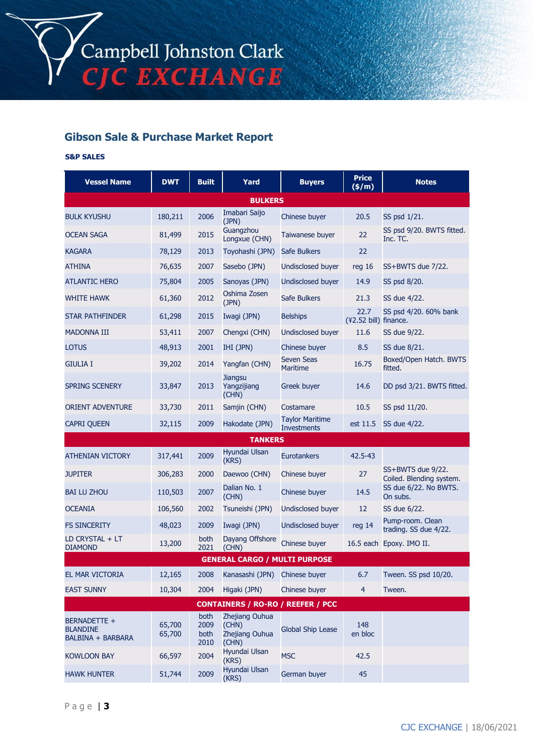# **Gibson Sale & Purchase Market Report**

#### **S&P SALES**

| <b>Vessel Name</b>                                   | <b>DWT</b>       | <b>Built</b>                 | Yard                                               | <b>Buyers</b>                                | <b>Price</b><br>(\$/m)        | <b>Notes</b>                                  |  |  |
|------------------------------------------------------|------------------|------------------------------|----------------------------------------------------|----------------------------------------------|-------------------------------|-----------------------------------------------|--|--|
| <b>BULKERS</b>                                       |                  |                              |                                                    |                                              |                               |                                               |  |  |
| <b>BULK KYUSHU</b>                                   | 180,211          | 2006                         | Imabari Saijo<br>(JPN)                             | Chinese buyer                                | 20.5                          | SS psd 1/21.                                  |  |  |
| <b>OCEAN SAGA</b>                                    | 81,499           | 2015                         | Guangzhou<br>Longxue (CHN)                         | Taiwanese buyer                              | 22                            | SS psd 9/20. BWTS fitted.<br>Inc. TC.         |  |  |
| <b>KAGARA</b>                                        | 78,129           | 2013                         | Toyohashi (JPN)                                    | <b>Safe Bulkers</b>                          | 22                            |                                               |  |  |
| <b>ATHINA</b>                                        | 76,635           | 2007                         | Sasebo (JPN)                                       | Undisclosed buyer                            | reg 16                        | SS+BWTS due 7/22.                             |  |  |
| <b>ATLANTIC HERO</b>                                 | 75,804           | 2005                         | Sanoyas (JPN)                                      | <b>Undisclosed buyer</b>                     | 14.9                          | SS psd 8/20.                                  |  |  |
| <b>WHITE HAWK</b>                                    | 61,360           | 2012                         | Oshima Zosen<br>(JPN)                              | Safe Bulkers                                 | 21.3                          | SS due 4/22.                                  |  |  |
| STAR PATHFINDER                                      | 61,298           | 2015                         | Iwagi (JPN)                                        | <b>Belships</b>                              | 22.7<br>(¥2.52 bill) finance. | SS psd 4/20. 60% bank                         |  |  |
| <b>MADONNA III</b>                                   | 53,411           | 2007                         | Chengxi (CHN)                                      | Undisclosed buyer                            | 11.6                          | SS due 9/22.                                  |  |  |
| <b>LOTUS</b>                                         | 48,913           | 2001                         | IHI (JPN)                                          | Chinese buyer                                | 8.5                           | SS due 8/21.                                  |  |  |
| <b>GIULIA I</b>                                      | 39,202           | 2014                         | Yangfan (CHN)                                      | <b>Seven Seas</b><br><b>Maritime</b>         | 16.75                         | Boxed/Open Hatch. BWTS<br>fitted.             |  |  |
| <b>SPRING SCENERY</b>                                | 33,847           | 2013                         | <b>Jiangsu</b><br>Yangzijiang<br>(CHN)             | Greek buyer                                  | 14.6                          | DD psd 3/21. BWTS fitted.                     |  |  |
| <b>ORIENT ADVENTURE</b>                              | 33,730           | 2011                         | Samjin (CHN)                                       | Costamare                                    | 10.5                          | SS psd 11/20.                                 |  |  |
| <b>CAPRI QUEEN</b>                                   | 32,115           | 2009                         | Hakodate (JPN)                                     | <b>Taylor Maritime</b><br><b>Investments</b> | est 11.5                      | SS due 4/22.                                  |  |  |
|                                                      |                  |                              | <b>TANKERS</b>                                     |                                              |                               |                                               |  |  |
| <b>ATHENIAN VICTORY</b>                              | 317,441          | 2009                         | Hyundai Ulsan<br>(KRS)                             | <b>Eurotankers</b>                           | 42.5-43                       |                                               |  |  |
| <b>JUPITER</b>                                       | 306,283          | 2000                         | Daewoo (CHN)                                       | Chinese buyer                                | 27                            | SS+BWTS due 9/22.<br>Coiled. Blending system. |  |  |
| <b>BAI LU ZHOU</b>                                   | 110,503          | 2007                         | Dalian No. 1<br>(CHN)                              | Chinese buyer                                | 14.5                          | SS due 6/22. No BWTS.<br>On subs.             |  |  |
| <b>OCEANIA</b>                                       | 106,560          | 2002                         | Tsuneishi (JPN)                                    | Undisclosed buyer                            | 12                            | SS due 6/22.                                  |  |  |
| <b>FS SINCERITY</b>                                  | 48,023           | 2009                         | Iwagi (JPN)                                        | Undisclosed buyer                            | reg 14                        | Pump-room. Clean<br>trading. SS due 4/22.     |  |  |
| LD CRYSTAL + LT<br><b>DIAMOND</b>                    | 13,200           | both<br>2021                 | Dayang Offshore<br>(CHN)                           | Chinese buyer                                | 16.5 each                     | Epoxy. IMO II.                                |  |  |
| <b>GENERAL CARGO / MULTI PURPOSE</b>                 |                  |                              |                                                    |                                              |                               |                                               |  |  |
| EL MAR VICTORIA                                      | 12,165           | 2008                         | Kanasashi (JPN)                                    | Chinese buyer                                | 6.7                           | Tween. SS psd 10/20.                          |  |  |
| <b>EAST SUNNY</b>                                    | 10,304           | 2004                         | Higaki (JPN)                                       | Chinese buver                                | $\overline{4}$                | Tween.                                        |  |  |
| <b>CONTAINERS / RO-RO / REEFER / PCC</b>             |                  |                              |                                                    |                                              |                               |                                               |  |  |
| BERNADETTE +<br><b>BLANDINE</b><br>BALBINA + BARBARA | 65,700<br>65,700 | both<br>2009<br>both<br>2010 | Zhejiang Ouhua<br>(CHN)<br>Zhejiang Ouhua<br>(CHN) | <b>Global Ship Lease</b>                     | 148<br>en bloc                |                                               |  |  |
| <b>KOWLOON BAY</b>                                   | 66,597           | 2004                         | Hyundai Ulsan<br>(KRS)                             | <b>MSC</b>                                   | 42.5                          |                                               |  |  |
| <b>HAWK HUNTER</b>                                   | 51,744           | 2009                         | Hyundai Ulsan<br>(KRS)                             | German buyer                                 | 45                            |                                               |  |  |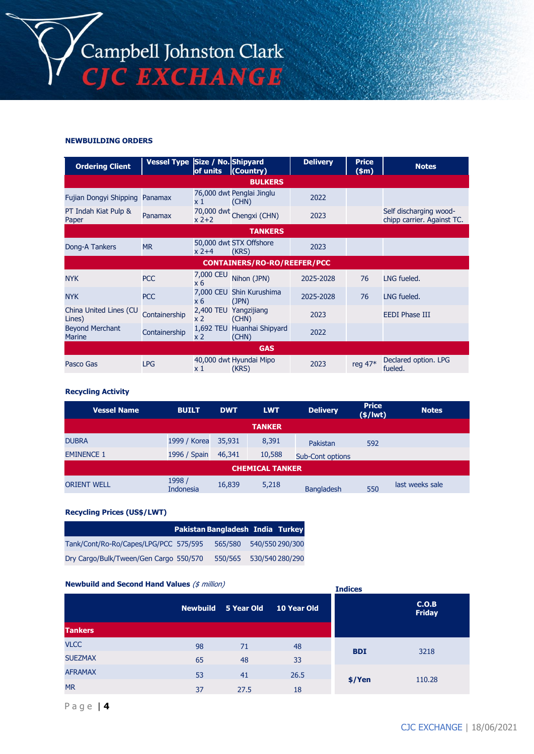

#### **NEWBUILDING ORDERS**

| <b>Ordering Client</b>                  | Vessel Type Size / No. Shipyard | of units         | (Country)                           | <b>Delivery</b> | <b>Price</b><br>$(\$m)$ | <b>Notes</b>                                         |  |  |
|-----------------------------------------|---------------------------------|------------------|-------------------------------------|-----------------|-------------------------|------------------------------------------------------|--|--|
| <b>BULKERS</b>                          |                                 |                  |                                     |                 |                         |                                                      |  |  |
| Fujian Dongyi Shipping Panamax          |                                 | x 1              | 76,000 dwt Penglai Jinglu<br>(CHN)  | 2022            |                         |                                                      |  |  |
| PT Indah Kiat Pulp &<br>Paper           | Panamax                         | $x2+2$           | 70,000 dwt Chengxi (CHN)            | 2023            |                         | Self discharging wood-<br>chipp carrier. Against TC. |  |  |
|                                         |                                 |                  | <b>TANKERS</b>                      |                 |                         |                                                      |  |  |
| Dong-A Tankers                          | <b>MR</b>                       | $x$ 2+4          | 50,000 dwt STX Offshore<br>(KRS)    | 2023            |                         |                                                      |  |  |
|                                         |                                 |                  | <b>CONTAINERS/RO-RO/REEFER/PCC</b>  |                 |                         |                                                      |  |  |
| <b>NYK</b>                              | <b>PCC</b>                      | 7,000 CEU<br>x 6 | Nihon (JPN)                         | 2025-2028       | 76                      | LNG fueled.                                          |  |  |
| <b>NYK</b>                              | <b>PCC</b>                      | x 6              | 7,000 CEU Shin Kurushima<br>(JPN)   | 2025-2028       | 76                      | LNG fueled.                                          |  |  |
| China United Lines (CU<br>Lines)        | Containership                   | x <sub>2</sub>   | 2,400 TEU Yangzijiang<br>(CHN)      | 2023            |                         | <b>EEDI Phase III</b>                                |  |  |
| <b>Beyond Merchant</b><br><b>Marine</b> | Containership                   | x <sub>2</sub>   | 1,692 TEU Huanhai Shipyard<br>(CHN) | 2022            |                         |                                                      |  |  |
| <b>GAS</b>                              |                                 |                  |                                     |                 |                         |                                                      |  |  |
| Pasco Gas                               | <b>LPG</b>                      | x 1              | 40,000 dwt Hyundai Mipo<br>(KRS)    | 2023            | reg 47*                 | Declared option. LPG<br>fueled.                      |  |  |

#### **Recycling Activity**

| <b>Vessel Name</b>     | <b>BUILT</b>               | <b>DWT</b> | <b>LWT</b> | <b>Delivery</b>         | <b>Price</b><br>$(*)$ lwt $)$ | <b>Notes</b>    |  |  |  |
|------------------------|----------------------------|------------|------------|-------------------------|-------------------------------|-----------------|--|--|--|
| <b>TANKER</b>          |                            |            |            |                         |                               |                 |  |  |  |
| <b>DUBRA</b>           | 1999 / Korea               | 35,931     | 8,391      | Pakistan                | 592                           |                 |  |  |  |
| <b>EMINENCE 1</b>      | 1996 / Spain               | 46,341     | 10,588     | <b>Sub-Cont options</b> |                               |                 |  |  |  |
| <b>CHEMICAL TANKER</b> |                            |            |            |                         |                               |                 |  |  |  |
| <b>ORIENT WELL</b>     | 1998 /<br><b>Indonesia</b> | 16,839     | 5,218      | <b>Bangladesh</b>       | 550                           | last weeks sale |  |  |  |

#### **Recycling Prices (US\$/LWT)**

|                                        | Pakistan Bangladesh India Turkey |         |                 |
|----------------------------------------|----------------------------------|---------|-----------------|
| Tank/Cont/Ro-Ro/Capes/LPG/PCC 575/595  |                                  | 565/580 | 540/550 290/300 |
| Dry Cargo/Bulk/Tween/Gen Cargo 550/570 |                                  | 550/565 | 530/540 280/290 |

#### **Newbuild and Second Hand Values** (\$ million)

| <b>Newbulld and Second Hand Values</b> ( $\frac{1}{2}$ <i>IIIIIIIOII)</i> |    | <b>Indices</b>             |             |            |                        |
|---------------------------------------------------------------------------|----|----------------------------|-------------|------------|------------------------|
|                                                                           |    | <b>Newbuild 5 Year Old</b> | 10 Year Old |            | C.O.B<br><b>Friday</b> |
| <b>Tankers</b>                                                            |    |                            |             |            |                        |
| <b>VLCC</b>                                                               | 98 | 71                         | 48          | <b>BDI</b> | 3218                   |
| <b>SUEZMAX</b>                                                            | 65 | 48                         | 33          |            |                        |
| <b>AFRAMAX</b>                                                            | 53 | 41                         | 26.5        |            |                        |
| <b>MR</b>                                                                 | 37 | 27.5                       | 18          | $$$ /Yen   | 110.28                 |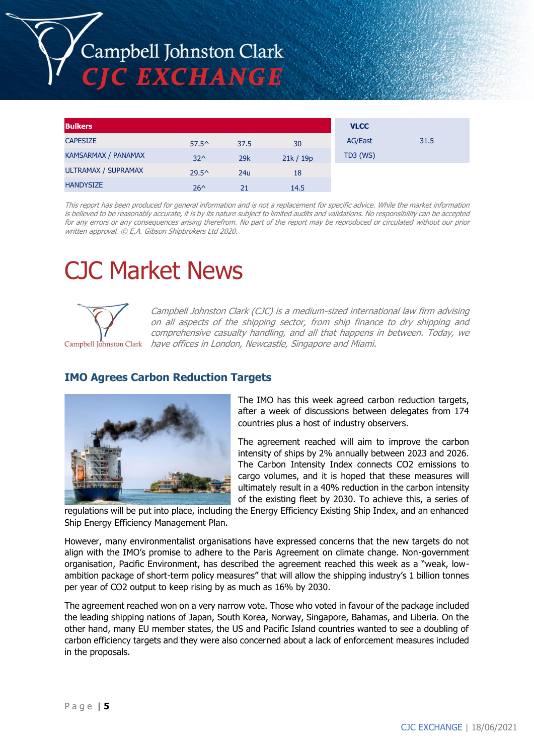# Campbell Johnston Clark **C EXCHANGE**

| <b>Bulkers</b>             |                |      |         | <b>VLCC</b>    |      |
|----------------------------|----------------|------|---------|----------------|------|
| <b>CAPESIZE</b>            | $57.5^{\circ}$ | 37.5 | 30      | <b>AG/East</b> | 31.5 |
| <b>KAMSARMAX / PANAMAX</b> | $32^{\wedge}$  | 29k  | 21k/19p | $TD3$ (WS)     |      |
| <b>ULTRAMAX / SUPRAMAX</b> | $29.5^{\circ}$ | 24u  | 18      |                |      |
| <b>HANDYSIZE</b>           | $26^{\wedge}$  | 21   | 14.5    |                |      |

This report has been produced for general information and is not a replacement for specific advice. While the market information is believed to be reasonably accurate, it is by its nature subject to limited audits and validations. No responsibility can be accepted for any errors or any consequences arising therefrom. No part of the report may be reproduced or circulated without our prior written approval. © E.A. Gibson Shipbrokers Ltd 2020.

# CJC Market News



Campbell Johnston Clark (CJC) is a medium-sized international law firm advising on all aspects of the shipping sector, from ship finance to dry shipping and comprehensive casualty handling, and all that happens in between. Today, we have offices in London, Newcastle, Singapore and Miami.

# **IMO Agrees Carbon Reduction Targets**



The IMO has this week agreed carbon reduction targets, after a week of discussions between delegates from 174 countries plus a host of industry observers.

The agreement reached will aim to improve the carbon intensity of ships by 2% annually between 2023 and 2026. The Carbon Intensity Index connects CO2 emissions to cargo volumes, and it is hoped that these measures will ultimately result in a 40% reduction in the carbon intensity of the existing fleet by 2030. To achieve this, a series of

regulations will be put into place, including the Energy Efficiency Existing Ship Index, and an enhanced Ship Energy Efficiency Management Plan.

However, many environmentalist organisations have expressed concerns that the new targets do not align with the IMO's promise to adhere to the Paris Agreement on climate change. Non-government organisation, Pacific Environment, has described the agreement reached this week as a "weak, lowambition package of short-term policy measures" that will allow the shipping industry's 1 billion tonnes per year of CO2 output to keep rising by as much as 16% by 2030.

The agreement reached won on a very narrow vote. Those who voted in favour of the package included the leading shipping nations of Japan, South Korea, Norway, Singapore, Bahamas, and Liberia. On the other hand, many EU member states, the US and Pacific Island countries wanted to see a doubling of carbon efficiency targets and they were also concerned about a lack of enforcement measures included in the proposals.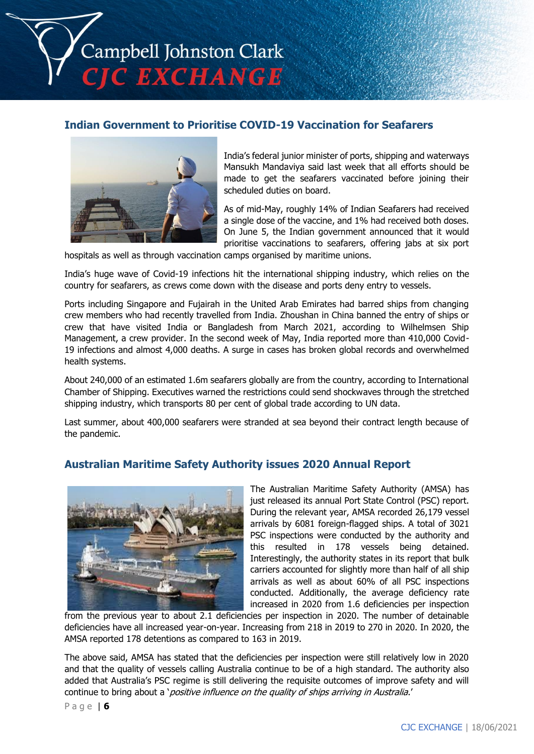Campbell Johnston Clark **CIC EXCHANGE** 

# **Indian Government to Prioritise COVID-19 Vaccination for Seafarers**



India's federal junior minister of ports, shipping and waterways Mansukh Mandaviya said last week that all efforts should be made to get the seafarers vaccinated before joining their scheduled duties on board.

As of mid-May, roughly 14% of Indian Seafarers had received a single dose of the vaccine, and 1% had received both doses. On June 5, the Indian government announced that it would prioritise vaccinations to seafarers, offering jabs at six port

hospitals as well as through vaccination camps organised by maritime unions.

India's huge wave of Covid-19 infections hit the international shipping industry, which relies on the country for seafarers, as crews come down with the disease and ports deny entry to vessels.

Ports including Singapore and Fujairah in the United Arab Emirates had barred ships from changing crew members who had recently travelled from India. Zhoushan in China banned the entry of ships or crew that have visited India or Bangladesh from March 2021, according to Wilhelmsen Ship Management, a crew provider. In the second week of May, India reported more than 410,000 Covid-19 infections and almost 4,000 deaths. A surge in cases has broken global records and overwhelmed health systems.

About 240,000 of an estimated 1.6m seafarers globally are from the country, according to International Chamber of Shipping. Executives warned the restrictions could send shockwaves through the stretched shipping industry, which transports 80 per cent of global trade according to UN data.

Last summer, about 400,000 seafarers were stranded at sea beyond their contract length because of the pandemic.

# **Australian Maritime Safety Authority issues 2020 Annual Report**



The Australian Maritime Safety Authority (AMSA) has just released its annual Port State Control (PSC) report. During the relevant year, AMSA recorded 26,179 vessel arrivals by 6081 foreign-flagged ships. A total of 3021 PSC inspections were conducted by the authority and this resulted in 178 vessels being detained. Interestingly, the authority states in its report that bulk carriers accounted for slightly more than half of all ship arrivals as well as about 60% of all PSC inspections conducted. Additionally, the average deficiency rate increased in 2020 from 1.6 deficiencies per inspection

from the previous year to about 2.1 deficiencies per inspection in 2020. The number of detainable deficiencies have all increased year-on-year. Increasing from 218 in 2019 to 270 in 2020. In 2020, the AMSA reported 178 detentions as compared to 163 in 2019.

The above said, AMSA has stated that the deficiencies per inspection were still relatively low in 2020 and that the quality of vessels calling Australia continue to be of a high standard. The authority also added that Australia's PSC regime is still delivering the requisite outcomes of improve safety and will continue to bring about a '*positive influence on the quality of ships arriving in Australia.'* 

P a g e | **6**